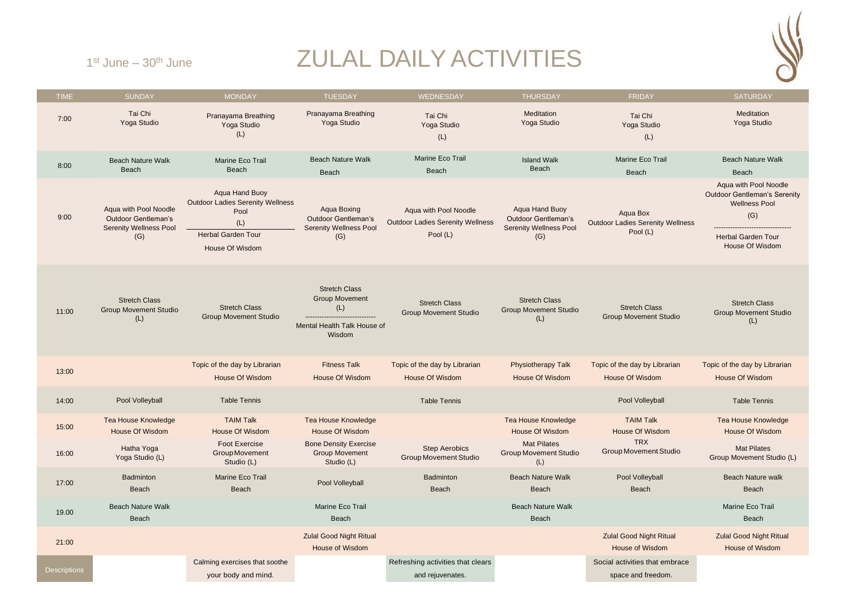## ZULAL DAILY ACTIVITIES



 $1<sup>st</sup>$  June  $-30<sup>th</sup>$  June

| <b>TIME</b>         | <b>SUNDAY</b>                                                                               | <b>MONDAY</b>                                                                                                            | <b>TUESDAY</b>                                                                                | WEDNESDAY                                                                    | <b>THURSDAY</b>                                                                      | <b>FRIDAY</b>                                                   | <b>SATURDAY</b>                                                                                                                             |
|---------------------|---------------------------------------------------------------------------------------------|--------------------------------------------------------------------------------------------------------------------------|-----------------------------------------------------------------------------------------------|------------------------------------------------------------------------------|--------------------------------------------------------------------------------------|-----------------------------------------------------------------|---------------------------------------------------------------------------------------------------------------------------------------------|
| 7:00                | Tai Chi<br>Yoga Studio                                                                      | Pranayama Breathing<br>Yoga Studio<br>(L)                                                                                | Pranayama Breathing<br>Yoga Studio                                                            | Tai Chi<br>Yoga Studio<br>(L)                                                | Meditation<br>Yoga Studio                                                            | Tai Chi<br>Yoga Studio<br>(L)                                   | Meditation<br>Yoga Studio                                                                                                                   |
| 8:00                | <b>Beach Nature Walk</b><br>Beach                                                           | Marine Eco Trail<br>Beach                                                                                                | <b>Beach Nature Walk</b><br>Beach                                                             | Marine Eco Trail<br>Beach                                                    | <b>Island Walk</b><br>Beach                                                          | Marine Eco Trail<br>Beach                                       | <b>Beach Nature Walk</b><br>Beach                                                                                                           |
| 9:00                | Aqua with Pool Noodle<br><b>Outdoor Gentleman's</b><br><b>Serenity Wellness Pool</b><br>(G) | Aqua Hand Buoy<br><b>Outdoor Ladies Serenity Wellness</b><br>Pool<br>(L)<br><b>Herbal Garden Tour</b><br>House Of Wisdom | Aqua Boxing<br><b>Outdoor Gentleman's</b><br><b>Serenity Wellness Pool</b><br>(G)             | Aqua with Pool Noodle<br><b>Outdoor Ladies Serenity Wellness</b><br>Pool (L) | Aqua Hand Buoy<br><b>Outdoor Gentleman's</b><br><b>Serenity Wellness Pool</b><br>(G) | Aqua Box<br><b>Outdoor Ladies Serenity Wellness</b><br>Pool (L) | Aqua with Pool Noodle<br><b>Outdoor Gentleman's Serenity</b><br><b>Wellness Pool</b><br>(G)<br><b>Herbal Garden Tour</b><br>House Of Wisdom |
| 11:00               | <b>Stretch Class</b><br><b>Group Movement Studio</b><br>(L)                                 | <b>Stretch Class</b><br><b>Group Movement Studio</b>                                                                     | <b>Stretch Class</b><br><b>Group Movement</b><br>(L)<br>Mental Health Talk House of<br>Wisdom | <b>Stretch Class</b><br><b>Group Movement Studio</b>                         | <b>Stretch Class</b><br><b>Group Movement Studio</b><br>(L)                          | <b>Stretch Class</b><br><b>Group Movement Studio</b>            | <b>Stretch Class</b><br><b>Group Movement Studio</b><br>(L)                                                                                 |
| 13:00               |                                                                                             | Topic of the day by Librarian<br>House Of Wisdom                                                                         | <b>Fitness Talk</b><br>House Of Wisdom                                                        | Topic of the day by Librarian<br><b>House Of Wisdom</b>                      | <b>Physiotherapy Talk</b><br><b>House Of Wisdom</b>                                  | Topic of the day by Librarian<br><b>House Of Wisdom</b>         | Topic of the day by Librarian<br><b>House Of Wisdom</b>                                                                                     |
| 14:00               | Pool Volleyball                                                                             | <b>Table Tennis</b>                                                                                                      |                                                                                               | <b>Table Tennis</b>                                                          |                                                                                      | Pool Volleyball                                                 | <b>Table Tennis</b>                                                                                                                         |
| 15:00               | <b>Tea House Knowledge</b><br>House Of Wisdom                                               | <b>TAIM Talk</b><br>House Of Wisdom                                                                                      | <b>Tea House Knowledge</b><br><b>House Of Wisdom</b>                                          |                                                                              | <b>Tea House Knowledge</b><br><b>House Of Wisdom</b>                                 | <b>TAIM Talk</b><br>House Of Wisdom                             | <b>Tea House Knowledge</b><br><b>House Of Wisdom</b>                                                                                        |
| 16:00               | Hatha Yoga<br>Yoga Studio (L)                                                               | <b>Foot Exercise</b><br><b>Group Movement</b><br>Studio (L)                                                              | <b>Bone Density Exercise</b><br><b>Group Movement</b><br>Studio (L)                           | <b>Step Aerobics</b><br><b>Group Movement Studio</b>                         | <b>Mat Pilates</b><br><b>Group Movement Studio</b><br>(L)                            | <b>TRX</b><br><b>Group Movement Studio</b>                      | <b>Mat Pilates</b><br>Group Movement Studio (L)                                                                                             |
| 17:00               | Badminton<br>Beach                                                                          | Marine Eco Trail<br><b>Beach</b>                                                                                         | Pool Volleyball                                                                               | Badminton<br>Beach                                                           | <b>Beach Nature Walk</b><br>Beach                                                    | Pool Volleyball<br>Beach                                        | <b>Beach Nature walk</b><br>Beach                                                                                                           |
| 19.00               | <b>Beach Nature Walk</b><br>Beach                                                           |                                                                                                                          | Marine Eco Trail<br>Beach                                                                     |                                                                              | <b>Beach Nature Walk</b><br><b>Beach</b>                                             |                                                                 | Marine Eco Trail<br>Beach                                                                                                                   |
| 21:00               |                                                                                             |                                                                                                                          | <b>Zulal Good Night Ritual</b><br><b>House of Wisdom</b>                                      |                                                                              |                                                                                      | <b>Zulal Good Night Ritual</b><br>House of Wisdom               | <b>Zulal Good Night Ritual</b><br><b>House of Wisdom</b>                                                                                    |
| <b>Descriptions</b> |                                                                                             | Calming exercises that soothe<br>your body and mind.                                                                     |                                                                                               | Refreshing activities that clears<br>and rejuvenates.                        |                                                                                      | Social activities that embrace<br>space and freedom.            |                                                                                                                                             |